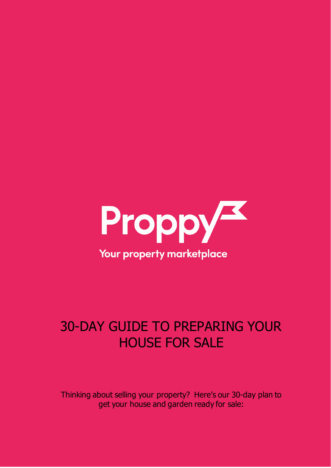

## 30-DAY GUIDE TO PREPARING YOUR HOUSE FOR SALE

Thinking about selling your property? Here's our 30-day plan to get your house and garden ready for sale: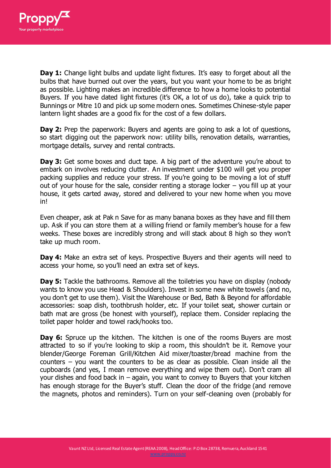

**Day 1:** Change light bulbs and update light fixtures. It's easy to forget about all the bulbs that have burned out over the years, but you want your home to be as bright as possible. Lighting makes an incredible difference to how a home looks to potential Buyers. If you have dated light fixtures (it's OK, a lot of us do), take a quick trip to Bunnings or Mitre 10 and pick up some modern ones. Sometimes Chinese-style paper lantern light shades are a good fix for the cost of a few dollars.

**Day 2:** Prep the paperwork: Buyers and agents are going to ask a lot of questions, so start digging out the paperwork now: utility bills, renovation details, warranties, mortgage details, survey and rental contracts.

**Day 3:** Get some boxes and duct tape. A big part of the adventure you're about to embark on involves reducing clutter. An investment under \$100 will get you proper packing supplies and reduce your stress. If you're going to be moving a lot of stuff out of your house for the sale, consider renting a storage locker – you fill up at your house, it gets carted away, stored and delivered to your new home when you move in!

Even cheaper, ask at Pak n Save for as many banana boxes as they have and fill them up. Ask if you can store them at a willing friend or family member's house for a few weeks. These boxes are incredibly strong and will stack about 8 high so they won't take up much room.

**Day 4:** Make an extra set of keys. Prospective Buyers and their agents will need to access your home, so you'll need an extra set of keys.

**Day 5:** Tackle the bathrooms. Remove all the toiletries you have on display (nobody wants to know you use Head & Shoulders). Invest in some new white towels (and no, you don't get to use them). Visit the Warehouse or Bed, Bath & Beyond for affordable accessories: soap dish, toothbrush holder, etc. If your toilet seat, shower curtain or bath mat are gross (be honest with yourself), replace them. Consider replacing the toilet paper holder and towel rack/hooks too.

**Day 6:** Spruce up the kitchen. The kitchen is one of the rooms Buyers are most attracted to so if you're looking to skip a room, this shouldn't be it. Remove your blender/George Foreman Grill/Kitchen Aid mixer/toaster/bread machine from the counters – you want the counters to be as clear as possible. Clean inside all the cupboards (and yes, I mean remove everything and wipe them out). Don't cram all your dishes and food back in – again, you want to convey to Buyers that your kitchen has enough storage for the Buyer's stuff. Clean the door of the fridge (and remove the magnets, photos and reminders). Turn on your self-cleaning oven (probably for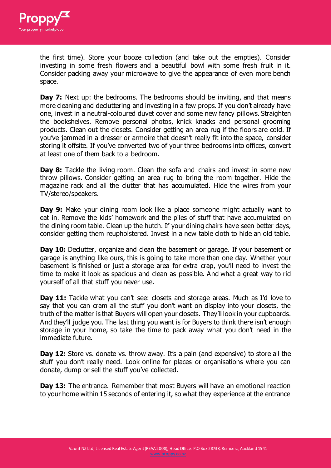

the first time). Store your booze collection (and take out the empties). Consider investing in some fresh flowers and a beautiful bowl with some fresh fruit in it. Consider packing away your microwave to give the appearance of even more bench space.

**Day 7:** Next up: the bedrooms. The bedrooms should be inviting, and that means more cleaning and decluttering and investing in a few props. If you don't already have one, invest in a neutral-coloured duvet cover and some new fancy pillows. Straighten the bookshelves. Remove personal photos, knick knacks and personal grooming products. Clean out the closets. Consider getting an area rug if the floors are cold. If you've jammed in a dresser or armoire that doesn't really fit into the space, consider storing it offsite. If you've converted two of your three bedrooms into offices, convert at least one of them back to a bedroom.

**Day 8:** Tackle the living room. Clean the sofa and chairs and invest in some new throw pillows. Consider getting an area rug to bring the room together. Hide the magazine rack and all the clutter that has accumulated. Hide the wires from your TV/stereo/speakers.

**Day 9:** Make your dining room look like a place someone might actually want to eat in. Remove the kids' homework and the piles of stuff that have accumulated on the dining room table. Clean up the hutch. If your dining chairs have seen better days, consider getting them reupholstered. Invest in a new table cloth to hide an old table.

**Day 10:** Declutter, organize and clean the basement or garage. If your basement or garage is anything like ours, this is going to take more than one day. Whether your basement is finished or just a storage area for extra crap, you'll need to invest the time to make it look as spacious and clean as possible. And what a great way to rid yourself of all that stuff you never use.

**Day 11:** Tackle what you can't see: closets and storage areas. Much as I'd love to say that you can cram all the stuff you don't want on display into your closets, the truth of the matter is that Buyers will open your closets. They'll look in your cupboards. And they'll judge you. The last thing you want is for Buyers to think there isn't enough storage in your home, so take the time to pack away what you don't need in the immediate future.

**Dav 12:** Store vs. donate vs. throw away. It's a pain (and expensive) to store all the stuff you don't really need. Look online for places or organisations where you can donate, dump or sell the stuff you've collected.

**Day 13:** The entrance. Remember that most Buyers will have an emotional reaction to your home within 15 seconds of entering it, so what they experience at the entrance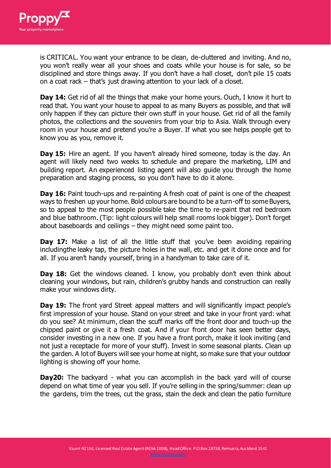

is CRITICAL. You want your entrance to be clean, de-cluttered and inviting. And no, you won't really wear all your shoes and coats while your house is for sale, so be disciplined and store things away. If you don't have a hall closet, don't pile 15 coats on a coat rack – that's just drawing attention to your lack of a closet.

**Day 14:** Get rid of all the things that make your home yours. Ouch, I know it hurt to read that. You want your house to appeal to as many Buyers as possible, and that will only happen if they can picture their own stuff in your house. Get rid of all the family photos, the collections and the souvenirs from your trip to Asia. Walk through every room in your house and pretend you're a Buyer. If what you see helps people get to know you as you, remove it.

**Day 15:** Hire an agent. If you haven't already hired someone, today is the day. An agent will likely need two weeks to schedule and prepare the marketing, LIM and building report. An experienced listing agent will also guide you through the home preparation and staging process, so you don't have to do it alone.

**Day 16:** Paint touch-ups and re-painting A fresh coat of paint is one of the cheapest ways to freshen up your home. Bold colours are bound to be a turn-off to some Buyers, so to appeal to the most people possible take the time to re-paint that red bedroom and blue bathroom. (Tip: light colours will help small rooms look bigger). Don't forget about baseboards and ceilings – they might need some paint too.

**Day 17:** Make a list of all the little stuff that you've been avoiding repairing includingthe leaky tap, the picture holes in the wall, etc. and get it done once and for all. If you aren't handy yourself, bring in a handyman to take care of it.

**Day 18:** Get the windows cleaned. I know, you probably don't even think about cleaning your windows, but rain, children's grubby hands and construction can really make your windows dirty.

**Day 19:** The front yard Street appeal matters and will significantly impact people's first impression of your house. Stand on your street and take in your front yard: what do you see? At minimum, clean the scuff marks off the front door and touch-up the chipped paint or give it a fresh coat. And if your front door has seen better days, consider investing in a new one. If you have a front porch, make it look inviting (and not just a receptacle for more of your stuff). Invest in some seasonal plants. Clean up the garden. A lot of Buyers will see your home at night, so make sure that your outdoor lighting is showing off your home.

**Day20:** The backyard - what you can accomplish in the back yard will of course depend on what time of year you sell. If you're selling in the spring/summer: clean up the gardens, trim the trees, cut the grass, stain the deck and clean the patio furniture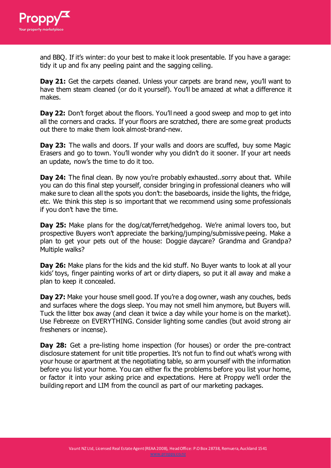

and BBQ. If it's winter: do your best to make it look presentable. If you have a garage: tidy it up and fix any peeling paint and the sagging ceiling.

**Day 21:** Get the carpets cleaned. Unless your carpets are brand new, you'll want to have them steam cleaned (or do it yourself). You'll be amazed at what a difference it makes.

**Day 22:** Don't forget about the floors. You'll need a good sweep and mop to get into all the corners and cracks. If your floors are scratched, there are some great products out there to make them look almost-brand-new.

**Day 23:** The walls and doors. If your walls and doors are scuffed, buy some Magic Erasers and go to town. You'll wonder why you didn't do it sooner. If your art needs an update, now's the time to do it too.

**Day 24:** The final clean. By now you're probably exhausted..sorry about that. While you can do this final step yourself, consider bringing in professional cleaners who will make sure to clean all the spots you don't: the baseboards, inside the lights, the fridge, etc. We think this step is so important that we recommend using some professionals if you don't have the time.

**Day 25:** Make plans for the dog/cat/ferret/hedgehog. We're animal lovers too, but prospective Buyers won't appreciate the barking/jumping/submissive peeing. Make a plan to get your pets out of the house: Doggie daycare? Grandma and Grandpa? Multiple walks?

**Day 26:** Make plans for the kids and the kid stuff. No Buyer wants to look at all your kids' toys, finger painting works of art or dirty diapers, so put it all away and make a plan to keep it concealed.

**Day 27:** Make your house smell good. If you're a dog owner, wash any couches, beds and surfaces where the dogs sleep. You may not smell him anymore, but Buyers will. Tuck the litter box away (and clean it twice a day while your home is on the market). Use Febreeze on EVERYTHING. Consider lighting some candles (but avoid strong air fresheners or incense).

**Day 28:** Get a pre-listing home inspection (for houses) or order the pre-contract disclosure statement for unit title properties. It's not fun to find out what's wrong with your house or apartment at the negotiating table, so arm yourself with the information before you list your home. You can either fix the problems before you list your home, or factor it into your asking price and expectations. Here at Proppy we'll order the building report and LIM from the council as part of our marketing packages.